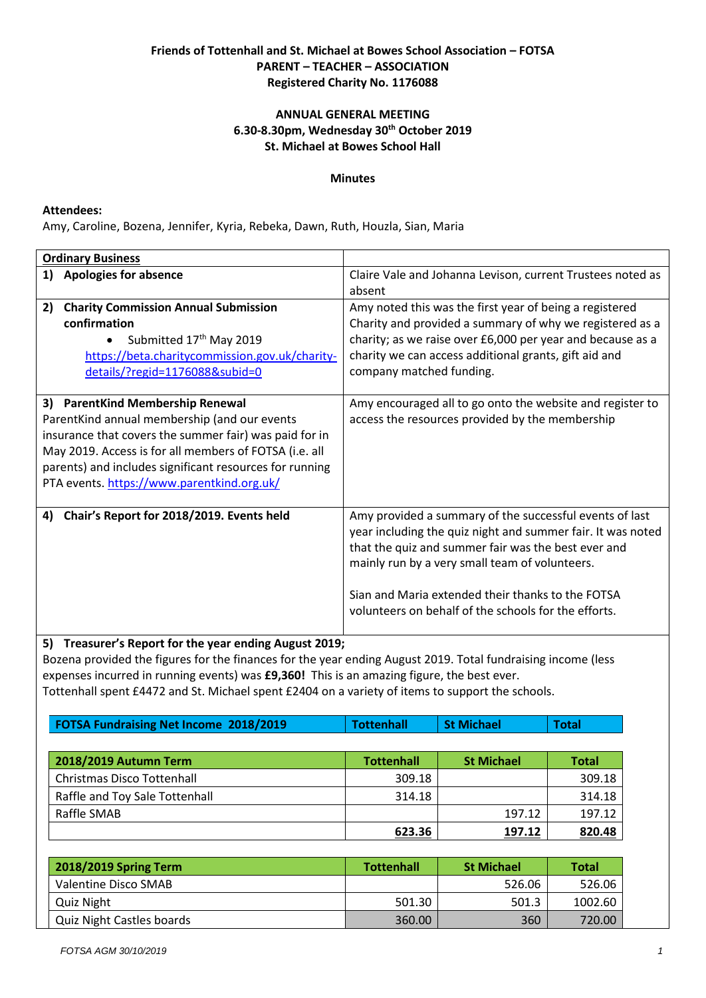# **Friends of Tottenhall and St. Michael at Bowes School Association – FOTSA PARENT – TEACHER – ASSOCIATION Registered Charity No. 1176088**

## **ANNUAL GENERAL MEETING 6.30-8.30pm, Wednesday 30th October 2019 St. Michael at Bowes School Hall**

### **Minutes**

#### **Attendees:**

Amy, Caroline, Bozena, Jennifer, Kyria, Rebeka, Dawn, Ruth, Houzla, Sian, Maria

| <b>Ordinary Business</b>                                                                                                                                                                                                                                                                                      |                                                                                                                                                                                                                                                                                                                                              |
|---------------------------------------------------------------------------------------------------------------------------------------------------------------------------------------------------------------------------------------------------------------------------------------------------------------|----------------------------------------------------------------------------------------------------------------------------------------------------------------------------------------------------------------------------------------------------------------------------------------------------------------------------------------------|
| 1)<br><b>Apologies for absence</b>                                                                                                                                                                                                                                                                            | Claire Vale and Johanna Levison, current Trustees noted as<br>absent                                                                                                                                                                                                                                                                         |
| <b>Charity Commission Annual Submission</b><br>2)<br>confirmation<br>Submitted 17th May 2019<br>https://beta.charitycommission.gov.uk/charity-<br>details/?regid=1176088&subid=0                                                                                                                              | Amy noted this was the first year of being a registered<br>Charity and provided a summary of why we registered as a<br>charity; as we raise over £6,000 per year and because as a<br>charity we can access additional grants, gift aid and<br>company matched funding.                                                                       |
| 3) ParentKind Membership Renewal<br>ParentKind annual membership (and our events<br>insurance that covers the summer fair) was paid for in<br>May 2019. Access is for all members of FOTSA (i.e. all<br>parents) and includes significant resources for running<br>PTA events. https://www.parentkind.org.uk/ | Amy encouraged all to go onto the website and register to<br>access the resources provided by the membership                                                                                                                                                                                                                                 |
| Chair's Report for 2018/2019. Events held<br>4)                                                                                                                                                                                                                                                               | Amy provided a summary of the successful events of last<br>year including the quiz night and summer fair. It was noted<br>that the quiz and summer fair was the best ever and<br>mainly run by a very small team of volunteers.<br>Sian and Maria extended their thanks to the FOTSA<br>volunteers on behalf of the schools for the efforts. |
| Transurar's Report for the year ending August 2019.<br>5)                                                                                                                                                                                                                                                     |                                                                                                                                                                                                                                                                                                                                              |

**5) Treasurer's Report for the year ending August 2019;**

Bozena provided the figures for the finances for the year ending August 2019. Total fundraising income (less expenses incurred in running events) was **£9,360!** This is an amazing figure, the best ever. Tottenhall spent £4472 and St. Michael spent £2404 on a variety of items to support the schools.

| <b>FOTSA Fundraising Net Income 2018/2019</b> | <b>Tottenhall</b> | <b>St Michael</b> | <b>Total</b> |
|-----------------------------------------------|-------------------|-------------------|--------------|
|                                               |                   |                   |              |
| 2018/2019 Autumn Term                         | <b>Tottenhall</b> | <b>St Michael</b> | <b>Total</b> |
| Christmas Disco Tottenhall                    | 309.18            |                   | 309.18       |
| Raffle and Toy Sale Tottenhall                | 314.18            |                   | 314.18       |
| Raffle SMAB                                   |                   | 197.12            | 197.12       |
|                                               | 623.36            | 197.12            | 820.48       |

| 2018/2019 Spring Term            | <b>Tottenhall</b> | <b>St Michael</b> | <b>Total</b> |
|----------------------------------|-------------------|-------------------|--------------|
| Valentine Disco SMAB             |                   | 526.06            | 526.06       |
| Quiz Night                       | 501.30            | 501.3             | 1002.60      |
| <b>Quiz Night Castles boards</b> | 360.00            | 360               | 720.00       |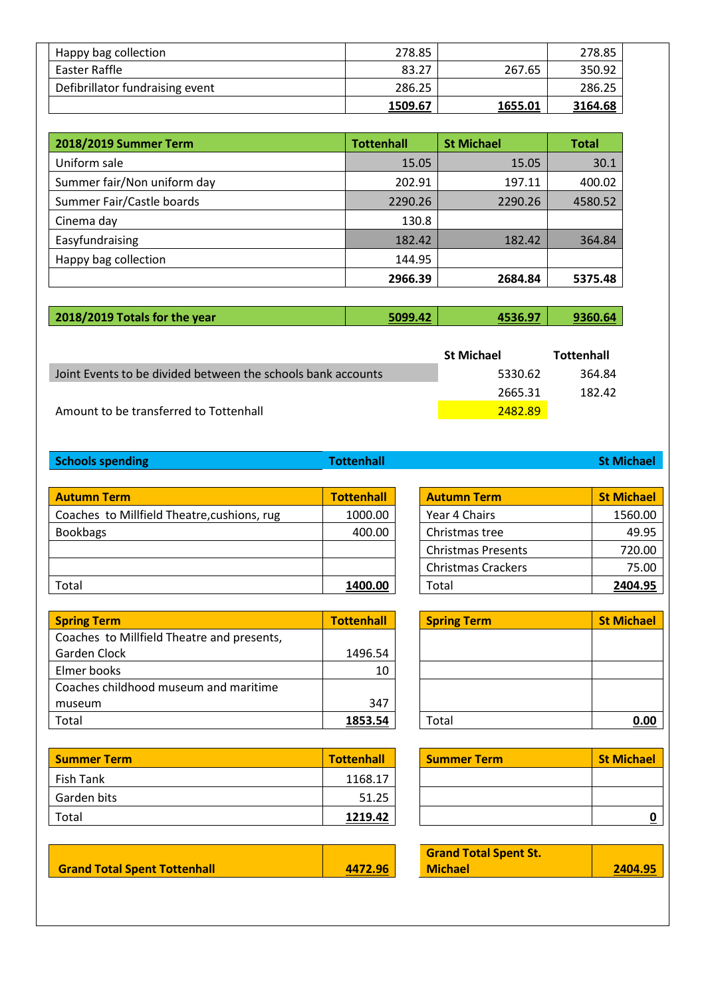| Happy bag collection            | 278.85  |         | 278.85  |
|---------------------------------|---------|---------|---------|
| Easter Raffle                   | 83.27   | 267.65  | 350.92  |
| Defibrillator fundraising event | 286.25  |         | 286.25  |
|                                 | 1509.67 | 1655.01 | 3164.68 |

| 2018/2019 Summer Term       | <b>Tottenhall</b> | <b>St Michael</b> | <b>Total</b> |
|-----------------------------|-------------------|-------------------|--------------|
| Uniform sale                | 15.05             | 15.05             | 30.1         |
| Summer fair/Non uniform day | 202.91            | 197.11            | 400.02       |
| Summer Fair/Castle boards   | 2290.26           | 2290.26           | 4580.52      |
| Cinema day                  | 130.8             |                   |              |
| Easyfundraising             | 182.42            | 182.42            | 364.84       |
| Happy bag collection        | 144.95            |                   |              |
|                             | 2966.39           | 2684.84           | 5375.48      |

| 2018/2019 Totals for the year | 5099.42 | 4536.97 | 9360.64 |
|-------------------------------|---------|---------|---------|
|-------------------------------|---------|---------|---------|

|                                                              | <b>St Michael</b> | <b>Tottenhall</b> |
|--------------------------------------------------------------|-------------------|-------------------|
| Joint Events to be divided between the schools bank accounts | 5330.62           | 364.84            |
|                                                              | 2665.31           | 182.42            |
| Amount to be transferred to Tottenhall                       | 2482.89           |                   |

**Schools spending Tottenhall State State State State State State State State State State State State State State State State State State State State State State State State State State State State State State State Sta** 

**Autumn Term 1988 Coaches to Millfield Theatre, cushions, rug 1000.00** Coaches to Millfield Theatre, cushions, rug Bookbags 400.00 Christmas tree 49.95 Total **1400.00** Total **2404.95**

| <b>Spring Term</b>                         | <b>Tottenhall</b> | <b>Spring Term</b> | <b>St Michael</b> |
|--------------------------------------------|-------------------|--------------------|-------------------|
| Coaches to Millfield Theatre and presents, |                   |                    |                   |
| Garden Clock                               | 1496.54           |                    |                   |
| Elmer books                                | 10                |                    |                   |
| Coaches childhood museum and maritime      |                   |                    |                   |
| museum                                     | 347               |                    |                   |
| Total                                      | 1853.54           | Total              | 0.00              |

| <b>Summer Term</b> | <b>Tottenhall</b> | <b>Summer Term</b> | <b>St Michael</b> |
|--------------------|-------------------|--------------------|-------------------|
| Fish Tank          | 1168.17           |                    |                   |
| Garden bits        | 51.25             |                    |                   |
| Total              | 1219.42           |                    |                   |

| <b>Grand Total Spent Tottenhall</b> | 4472.96 |
|-------------------------------------|---------|
|                                     |         |

| <b>Autumn Term</b>        | <b>St Michael</b> |
|---------------------------|-------------------|
| Year 4 Chairs             | 1560.00           |
| Christmas tree            | 49.95             |
| <b>Christmas Presents</b> | 720.00            |
| <b>Christmas Crackers</b> | 75.00             |
| Total                     | 2404.95           |

| <b>Spring Term</b> | <b>St Michael</b> |
|--------------------|-------------------|
|                    |                   |
|                    |                   |
|                    |                   |
|                    |                   |
| Total              | 0.00              |

| <b>Summer Term</b> | <b>St Michael</b> |
|--------------------|-------------------|
|                    |                   |
|                    |                   |
|                    |                   |

| 2404.95 |
|---------|
|         |

 $\overline{\phantom{a}}$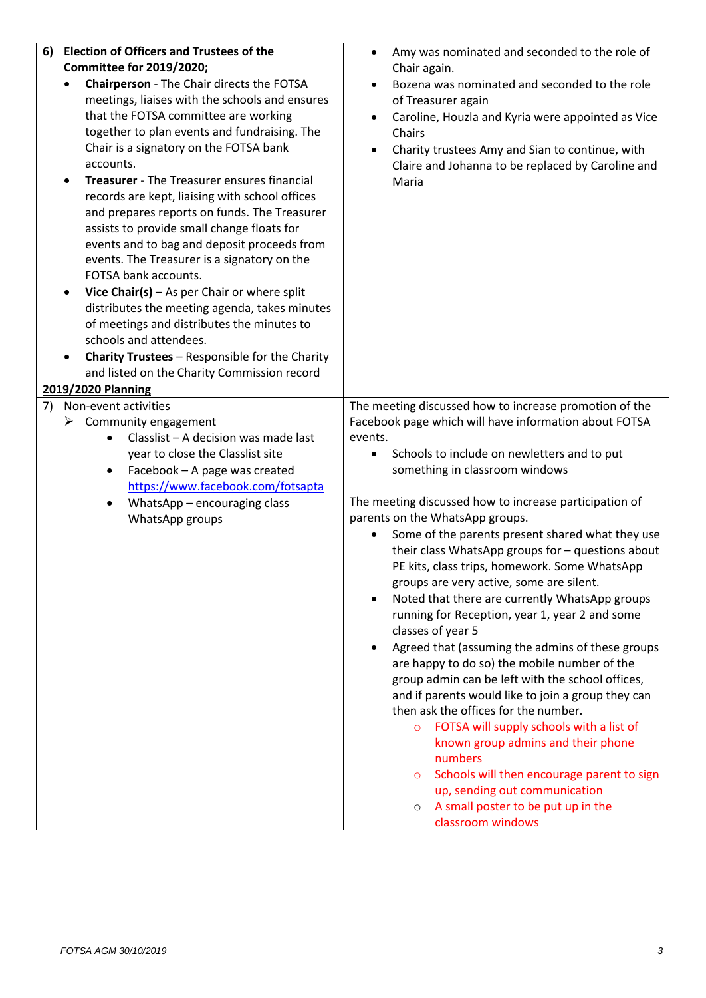| <b>Election of Officers and Trustees of the</b><br>6)<br>Committee for 2019/2020;<br>Chairperson - The Chair directs the FOTSA<br>meetings, liaises with the schools and ensures<br>that the FOTSA committee are working<br>together to plan events and fundraising. The<br>Chair is a signatory on the FOTSA bank<br>accounts.<br>Treasurer - The Treasurer ensures financial<br>$\bullet$<br>records are kept, liaising with school offices<br>and prepares reports on funds. The Treasurer<br>assists to provide small change floats for<br>events and to bag and deposit proceeds from<br>events. The Treasurer is a signatory on the<br>FOTSA bank accounts.<br>Vice Chair(s) $-$ As per Chair or where split<br>٠<br>distributes the meeting agenda, takes minutes<br>of meetings and distributes the minutes to<br>schools and attendees.<br><b>Charity Trustees - Responsible for the Charity</b><br>and listed on the Charity Commission record | Amy was nominated and seconded to the role of<br>$\bullet$<br>Chair again.<br>Bozena was nominated and seconded to the role<br>of Treasurer again<br>Caroline, Houzla and Kyria were appointed as Vice<br>Chairs<br>Charity trustees Amy and Sian to continue, with<br>Claire and Johanna to be replaced by Caroline and<br>Maria                                                                                                                                                                                                                                                                                                                                                                                                                                                                                                                                                                                                                                                                                                                                                                                                                                                  |
|----------------------------------------------------------------------------------------------------------------------------------------------------------------------------------------------------------------------------------------------------------------------------------------------------------------------------------------------------------------------------------------------------------------------------------------------------------------------------------------------------------------------------------------------------------------------------------------------------------------------------------------------------------------------------------------------------------------------------------------------------------------------------------------------------------------------------------------------------------------------------------------------------------------------------------------------------------|------------------------------------------------------------------------------------------------------------------------------------------------------------------------------------------------------------------------------------------------------------------------------------------------------------------------------------------------------------------------------------------------------------------------------------------------------------------------------------------------------------------------------------------------------------------------------------------------------------------------------------------------------------------------------------------------------------------------------------------------------------------------------------------------------------------------------------------------------------------------------------------------------------------------------------------------------------------------------------------------------------------------------------------------------------------------------------------------------------------------------------------------------------------------------------|
| 2019/2020 Planning<br>7)<br>Non-event activities<br>$\triangleright$ Community engagement<br>Classlist - A decision was made last<br>year to close the Classlist site<br>Facebook - A page was created<br>٠<br>https://www.facebook.com/fotsapta<br>WhatsApp - encouraging class<br>$\bullet$<br>WhatsApp groups                                                                                                                                                                                                                                                                                                                                                                                                                                                                                                                                                                                                                                         | The meeting discussed how to increase promotion of the<br>Facebook page which will have information about FOTSA<br>events.<br>Schools to include on newletters and to put<br>$\bullet$<br>something in classroom windows<br>The meeting discussed how to increase participation of<br>parents on the WhatsApp groups.<br>Some of the parents present shared what they use<br>their class WhatsApp groups for - questions about<br>PE kits, class trips, homework. Some WhatsApp<br>groups are very active, some are silent.<br>Noted that there are currently WhatsApp groups<br>running for Reception, year 1, year 2 and some<br>classes of year 5<br>Agreed that (assuming the admins of these groups<br>are happy to do so) the mobile number of the<br>group admin can be left with the school offices,<br>and if parents would like to join a group they can<br>then ask the offices for the number.<br>FOTSA will supply schools with a list of<br>$\circ$<br>known group admins and their phone<br>numbers<br>Schools will then encourage parent to sign<br>$\circ$<br>up, sending out communication<br>A small poster to be put up in the<br>$\circ$<br>classroom windows |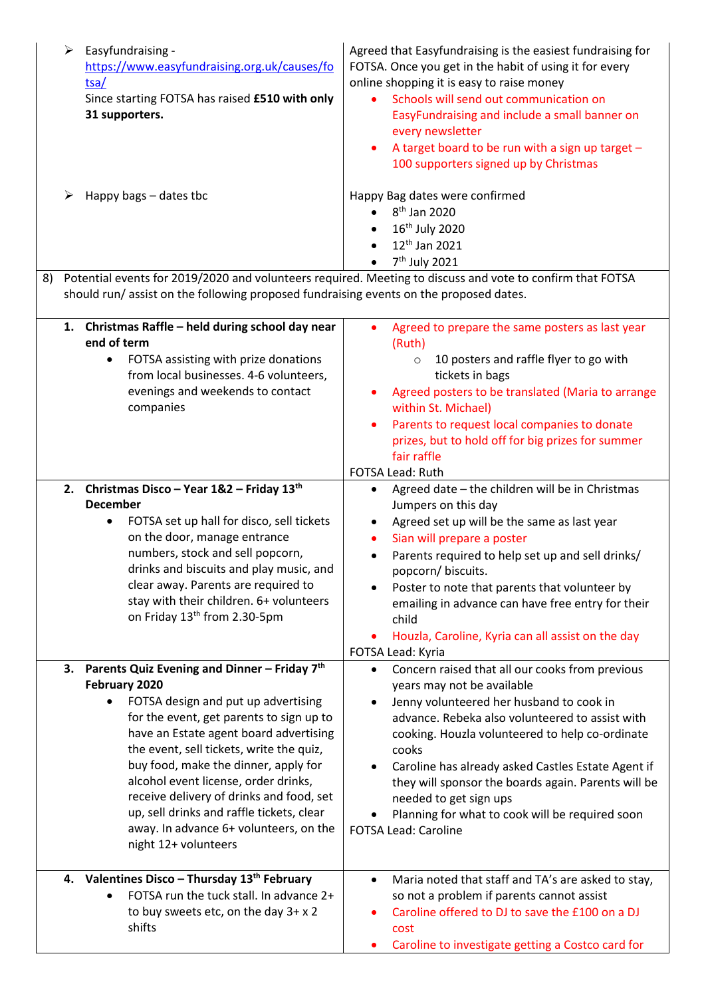|                                                                                                                                                                                                          | Easyfundraising -<br>➤<br>https://www.easyfundraising.org.uk/causes/fo<br>tsa/<br>Since starting FOTSA has raised £510 with only<br>31 supporters.<br>Happy bags – dates tbc                                                                                                                                                                                                                                                                                                           | Agreed that Easyfundraising is the easiest fundraising for<br>FOTSA. Once you get in the habit of using it for every<br>online shopping it is easy to raise money<br>Schools will send out communication on<br>EasyFundraising and include a small banner on<br>every newsletter<br>A target board to be run with a sign up target -<br>100 supporters signed up by Christmas<br>Happy Bag dates were confirmed                                                                |  |
|----------------------------------------------------------------------------------------------------------------------------------------------------------------------------------------------------------|----------------------------------------------------------------------------------------------------------------------------------------------------------------------------------------------------------------------------------------------------------------------------------------------------------------------------------------------------------------------------------------------------------------------------------------------------------------------------------------|--------------------------------------------------------------------------------------------------------------------------------------------------------------------------------------------------------------------------------------------------------------------------------------------------------------------------------------------------------------------------------------------------------------------------------------------------------------------------------|--|
|                                                                                                                                                                                                          |                                                                                                                                                                                                                                                                                                                                                                                                                                                                                        | 8 <sup>th</sup> Jan 2020<br>$\bullet$<br>16 <sup>th</sup> July 2020<br>12 <sup>th</sup> Jan 2021<br>7 <sup>th</sup> July 2021                                                                                                                                                                                                                                                                                                                                                  |  |
| Potential events for 2019/2020 and volunteers required. Meeting to discuss and vote to confirm that FOTSA<br>8)<br>should run/assist on the following proposed fundraising events on the proposed dates. |                                                                                                                                                                                                                                                                                                                                                                                                                                                                                        |                                                                                                                                                                                                                                                                                                                                                                                                                                                                                |  |
|                                                                                                                                                                                                          | 1. Christmas Raffle - held during school day near<br>end of term<br>FOTSA assisting with prize donations<br>٠                                                                                                                                                                                                                                                                                                                                                                          | Agreed to prepare the same posters as last year<br>$\bullet$<br>(Ruth)<br>10 posters and raffle flyer to go with<br>$\circ$                                                                                                                                                                                                                                                                                                                                                    |  |
|                                                                                                                                                                                                          | from local businesses. 4-6 volunteers,<br>evenings and weekends to contact<br>companies                                                                                                                                                                                                                                                                                                                                                                                                | tickets in bags<br>Agreed posters to be translated (Maria to arrange<br>within St. Michael)<br>Parents to request local companies to donate<br>prizes, but to hold off for big prizes for summer<br>fair raffle<br>FOTSA Lead: Ruth                                                                                                                                                                                                                                            |  |
|                                                                                                                                                                                                          | 2. Christmas Disco - Year 1&2 - Friday 13th<br><b>December</b><br>FOTSA set up hall for disco, sell tickets<br>$\bullet$<br>on the door, manage entrance<br>numbers, stock and sell popcorn,<br>drinks and biscuits and play music, and<br>clear away. Parents are required to<br>stay with their children. 6+ volunteers<br>on Friday 13th from 2.30-5pm                                                                                                                              | Agreed date - the children will be in Christmas<br>$\bullet$<br>Jumpers on this day<br>Agreed set up will be the same as last year<br>٠<br>Sian will prepare a poster<br>Parents required to help set up and sell drinks/<br>popcorn/ biscuits.<br>Poster to note that parents that volunteer by<br>emailing in advance can have free entry for their<br>child<br>Houzla, Caroline, Kyria can all assist on the day<br>FOTSA Lead: Kyria                                       |  |
|                                                                                                                                                                                                          | 3. Parents Quiz Evening and Dinner - Friday $7th$<br>February 2020<br>FOTSA design and put up advertising<br>for the event, get parents to sign up to<br>have an Estate agent board advertising<br>the event, sell tickets, write the quiz,<br>buy food, make the dinner, apply for<br>alcohol event license, order drinks,<br>receive delivery of drinks and food, set<br>up, sell drinks and raffle tickets, clear<br>away. In advance 6+ volunteers, on the<br>night 12+ volunteers | Concern raised that all our cooks from previous<br>$\bullet$<br>years may not be available<br>Jenny volunteered her husband to cook in<br>advance. Rebeka also volunteered to assist with<br>cooking. Houzla volunteered to help co-ordinate<br>cooks<br>Caroline has already asked Castles Estate Agent if<br>they will sponsor the boards again. Parents will be<br>needed to get sign ups<br>Planning for what to cook will be required soon<br><b>FOTSA Lead: Caroline</b> |  |
|                                                                                                                                                                                                          | 4. Valentines Disco - Thursday 13 <sup>th</sup> February<br>FOTSA run the tuck stall. In advance 2+<br>to buy sweets etc, on the day 3+ x 2<br>shifts                                                                                                                                                                                                                                                                                                                                  | Maria noted that staff and TA's are asked to stay,<br>$\bullet$<br>so not a problem if parents cannot assist<br>Caroline offered to DJ to save the £100 on a DJ<br>cost<br>Caroline to investigate getting a Costco card for                                                                                                                                                                                                                                                   |  |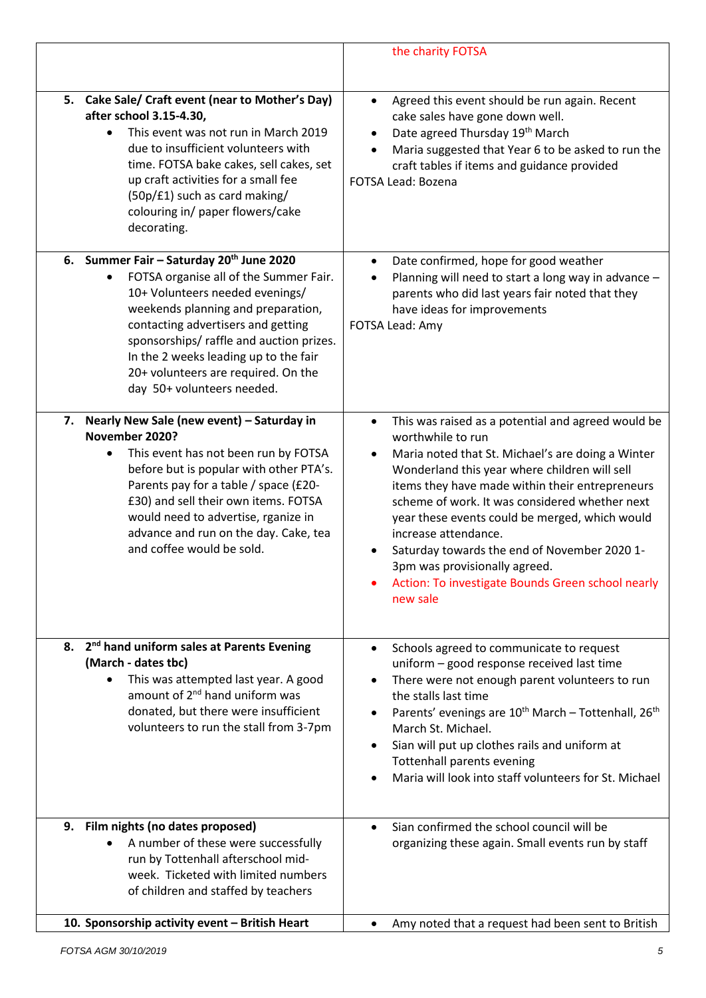|                                                                                                                                                                                                                                                                                                                                                                 | the charity FOTSA                                                                                                                                                                                                                                                                                                                                                                                                                                                                                                                        |
|-----------------------------------------------------------------------------------------------------------------------------------------------------------------------------------------------------------------------------------------------------------------------------------------------------------------------------------------------------------------|------------------------------------------------------------------------------------------------------------------------------------------------------------------------------------------------------------------------------------------------------------------------------------------------------------------------------------------------------------------------------------------------------------------------------------------------------------------------------------------------------------------------------------------|
| 5. Cake Sale/ Craft event (near to Mother's Day)<br>after school 3.15-4.30,<br>This event was not run in March 2019<br>$\bullet$<br>due to insufficient volunteers with<br>time. FOTSA bake cakes, sell cakes, set<br>up craft activities for a small fee<br>(50p/£1) such as card making/<br>colouring in/ paper flowers/cake<br>decorating.                   | Agreed this event should be run again. Recent<br>$\bullet$<br>cake sales have gone down well.<br>Date agreed Thursday 19th March<br>Maria suggested that Year 6 to be asked to run the<br>craft tables if items and guidance provided<br>FOTSA Lead: Bozena                                                                                                                                                                                                                                                                              |
| 6. Summer Fair - Saturday 20th June 2020<br>FOTSA organise all of the Summer Fair.<br>10+ Volunteers needed evenings/<br>weekends planning and preparation,<br>contacting advertisers and getting<br>sponsorships/ raffle and auction prizes.<br>In the 2 weeks leading up to the fair<br>20+ volunteers are required. On the<br>day 50+ volunteers needed.     | Date confirmed, hope for good weather<br>$\bullet$<br>Planning will need to start a long way in advance -<br>parents who did last years fair noted that they<br>have ideas for improvements<br>FOTSA Lead: Amy                                                                                                                                                                                                                                                                                                                           |
| Nearly New Sale (new event) - Saturday in<br>7.<br>November 2020?<br>This event has not been run by FOTSA<br>$\bullet$<br>before but is popular with other PTA's.<br>Parents pay for a table / space (£20-<br>£30) and sell their own items. FOTSA<br>would need to advertise, rganize in<br>advance and run on the day. Cake, tea<br>and coffee would be sold. | This was raised as a potential and agreed would be<br>$\bullet$<br>worthwhile to run<br>Maria noted that St. Michael's are doing a Winter<br>$\bullet$<br>Wonderland this year where children will sell<br>items they have made within their entrepreneurs<br>scheme of work. It was considered whether next<br>year these events could be merged, which would<br>increase attendance.<br>Saturday towards the end of November 2020 1-<br>3pm was provisionally agreed.<br>Action: To investigate Bounds Green school nearly<br>new sale |
| 8. 2 <sup>nd</sup> hand uniform sales at Parents Evening<br>(March - dates tbc)<br>This was attempted last year. A good<br>$\bullet$<br>amount of 2 <sup>nd</sup> hand uniform was<br>donated, but there were insufficient<br>volunteers to run the stall from 3-7pm                                                                                            | Schools agreed to communicate to request<br>$\bullet$<br>uniform - good response received last time<br>There were not enough parent volunteers to run<br>$\bullet$<br>the stalls last time<br>Parents' evenings are 10 <sup>th</sup> March - Tottenhall, 26 <sup>th</sup><br>March St. Michael.<br>Sian will put up clothes rails and uniform at<br><b>Tottenhall parents evening</b><br>Maria will look into staff volunteers for St. Michael                                                                                           |
| Film nights (no dates proposed)<br>9.<br>A number of these were successfully<br>run by Tottenhall afterschool mid-<br>week. Ticketed with limited numbers<br>of children and staffed by teachers                                                                                                                                                                | Sian confirmed the school council will be<br>organizing these again. Small events run by staff                                                                                                                                                                                                                                                                                                                                                                                                                                           |
| 10. Sponsorship activity event - British Heart                                                                                                                                                                                                                                                                                                                  | Amy noted that a request had been sent to British<br>$\bullet$                                                                                                                                                                                                                                                                                                                                                                                                                                                                           |